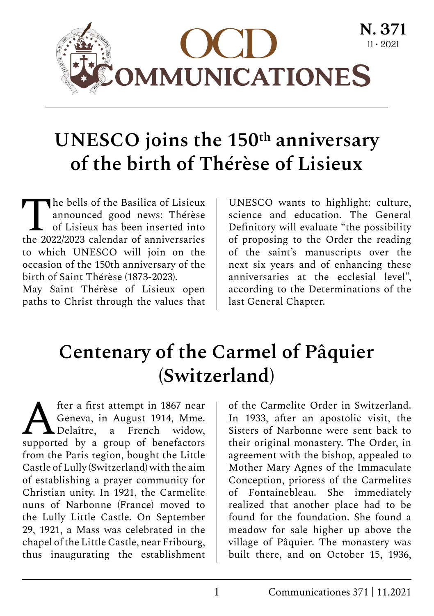

# **UNESCO joins the 150th anniversary of the birth of Thérèse of Lisieux**

The bells of the Basilica of Lisieux<br>announced good news: Thérèse<br>of Lisieux has been inserted into<br>the 2022/2023 calendar of anniversation announced good news: Thérèse of Lisieux has been inserted into the 2022/2023 calendar of anniversaries to which UNESCO will join on the occasion of the 150th anniversary of the birth of Saint Thérèse (1873-2023).

May Saint Thérèse of Lisieux open paths to Christ through the values that

UNESCO wants to highlight: culture, science and education. The General Definitory will evaluate "the possibility of proposing to the Order the reading of the saint's manuscripts over the next six years and of enhancing these anniversaries at the ecclesial level", according to the Determinations of the last General Chapter.

## **Centenary of the Carmel of Pâquier (Switzerland)**

**A** fter a first attempt in 1867 near<br>Geneva, in August 1914, Mme.<br>Delaître, a French widow, Geneva, in August 1914, Mme. Delaître, a French widow, supported by a group of benefactors from the Paris region, bought the Little Castle of Lully (Switzerland) with the aim of establishing a prayer community for Christian unity. In 1921, the Carmelite nuns of Narbonne (France) moved to the Lully Little Castle. On September 29, 1921, a Mass was celebrated in the chapel of the Little Castle, near Fribourg, thus inaugurating the establishment

of the Carmelite Order in Switzerland. In 1933, after an apostolic visit, the Sisters of Narbonne were sent back to their original monastery. The Order, in agreement with the bishop, appealed to Mother Mary Agnes of the Immaculate Conception, prioress of the Carmelites of Fontainebleau. She immediately realized that another place had to be found for the foundation. She found a meadow for sale higher up above the village of Pâquier. The monastery was built there, and on October 15, 1936,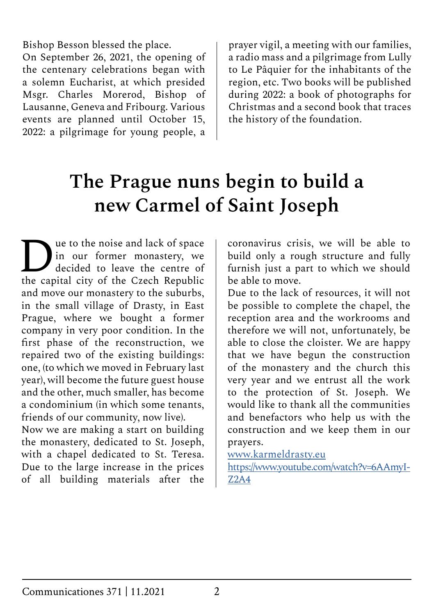Bishop Besson blessed the place.

On September 26, 2021, the opening of the centenary celebrations began with a solemn Eucharist, at which presided Msgr. Charles Morerod, Bishop of Lausanne, Geneva and Fribourg. Various events are planned until October 15, 2022: a pilgrimage for young people, a prayer vigil, a meeting with our families, a radio mass and a pilgrimage from Lully to Le Pâquier for the inhabitants of the region, etc. Two books will be published during 2022: a book of photographs for Christmas and a second book that traces the history of the foundation.

## **The Prague nuns begin to build a new Carmel of Saint Joseph**

ue to the noise and lack of space in our former monastery, we decided to leave the centre of the capital city of the Czech Republic and move our monastery to the suburbs, in the small village of Drasty, in East Prague, where we bought a former company in very poor condition. In the first phase of the reconstruction, we repaired two of the existing buildings: one, (to which we moved in February last year), will become the future guest house and the other, much smaller, has become a condominium (in which some tenants, friends of our community, now live).

Now we are making a start on building the monastery, dedicated to St. Joseph, with a chapel dedicated to St. Teresa. Due to the large increase in the prices of all building materials after the

coronavirus crisis, we will be able to build only a rough structure and fully furnish just a part to which we should be able to move.

Due to the lack of resources, it will not be possible to complete the chapel, the reception area and the workrooms and therefore we will not, unfortunately, be able to close the cloister. We are happy that we have begun the construction of the monastery and the church this very year and we entrust all the work to the protection of St. Joseph. We would like to thank all the communities and benefactors who help us with the construction and we keep them in our prayers.

[www.karmeldrasty.eu](http://www.karmeldrasty.eu)

[https://www.youtube.com/watch?v=6AAmyI-](https://www.youtube.com/watch?v=6AAmyI-Z2A4)[Z2A4](https://www.youtube.com/watch?v=6AAmyI-Z2A4)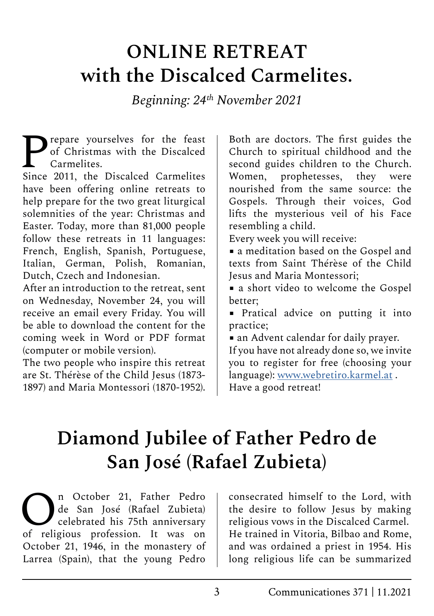#### **ONLINE RETREAT with the Discalced Carmelites.**

*Beginning: 24th November 2021*

Pepare yourselves for the feast<br>of Christmas with the Discalced<br>Since 2011, the Discalced Carmelites of Christmas with the Discalced Carmelites.

Since 2011, the Discalced Carmelites have been offering online retreats to help prepare for the two great liturgical solemnities of the year: Christmas and Easter. Today, more than 81,000 people follow these retreats in 11 languages: French, English, Spanish, Portuguese, Italian, German, Polish, Romanian, Dutch, Czech and Indonesian.

After an introduction to the retreat, sent on Wednesday, November 24, you will receive an email every Friday. You will be able to download the content for the coming week in Word or PDF format (computer or mobile version).

The two people who inspire this retreat are St. Thérèse of the Child Jesus (1873- 1897) and Maria Montessori (1870-1952).

Both are doctors. The first guides the Church to spiritual childhood and the second guides children to the Church. Women, prophetesses, they were nourished from the same source: the Gospels. Through their voices, God lifts the mysterious veil of his Face resembling a child.

Every week you will receive:

■ a meditation based on the Gospel and texts from Saint Thérèse of the Child Jesus and Maria Montessori;

■ a short video to welcome the Gospel better;

■ Pratical advice on putting it into practice;

■ an Advent calendar for daily prayer.

If you have not already done so, we invite you to register for free (choosing your language): [www.webretiro.karmel.at](http://www.webretiro.karmel.at) . Have a good retreat!

## **Diamond Jubilee of Father Pedro de San José (Rafael Zubieta)**

<sup>n</sup> October 21, Father Pedro<br>de San José (Rafael Zubieta)<br>celebrated his 75th anniversary de San José (Rafael Zubieta) celebrated his 75th anniversary of religious profession. It was on October 21, 1946, in the monastery of Larrea (Spain), that the young Pedro

consecrated himself to the Lord, with the desire to follow Jesus by making religious vows in the Discalced Carmel. He trained in Vitoria, Bilbao and Rome, and was ordained a priest in 1954. His long religious life can be summarized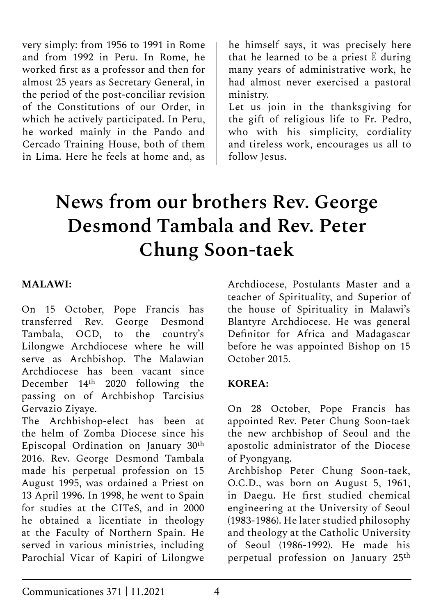very simply: from 1956 to 1991 in Rome and from 1992 in Peru. In Rome, he worked first as a professor and then for almost 25 years as Secretary General, in the period of the post-conciliar revision of the Constitutions of our Order, in which he actively participated. In Peru, he worked mainly in the Pando and Cercado Training House, both of them in Lima. Here he feels at home and, as

he himself says, it was precisely here that he learned to be a priest  $\mathbb Z$  during many years of administrative work, he had almost never exercised a pastoral ministry.

Let us join in the thanksgiving for the gift of religious life to Fr. Pedro, who with his simplicity, cordiality and tireless work, encourages us all to follow Jesus.

# **News from our brothers Rev. George Desmond Tambala and Rev. Peter Chung Soon-taek**

#### **MALAWI:**

On 15 October, Pope Francis has transferred Rev. George Desmond Tambala, OCD, to the country's Lilongwe Archdiocese where he will serve as Archbishop. The Malawian Archdiocese has been vacant since December 14th 2020 following the passing on of Archbishop Tarcisius Gervazio Ziyaye.

The Archbishop-elect has been at the helm of Zomba Diocese since his Episcopal Ordination on January 30th 2016. Rev. George Desmond Tambala made his perpetual profession on 15 August 1995, was ordained a Priest on 13 April 1996. In 1998, he went to Spain for studies at the CITeS, and in 2000 he obtained a licentiate in theology at the Faculty of Northern Spain. He served in various ministries, including Parochial Vicar of Kapiri of Lilongwe

Archdiocese, Postulants Master and a teacher of Spirituality, and Superior of the house of Spirituality in Malawi's Blantyre Archdiocese. He was general Definitor for Africa and Madagascar before he was appointed Bishop on 15 October 2015.

#### **KOREA:**

On 28 October, Pope Francis has appointed Rev. Peter Chung Soon-taek the new archbishop of Seoul and the apostolic administrator of the Diocese of Pyongyang.

Archbishop Peter Chung Soon-taek, O.C.D., was born on August 5, 1961, in Daegu. He first studied chemical engineering at the University of Seoul (1983-1986). He later studied philosophy and theology at the Catholic University of Seoul (1986-1992). He made his perpetual profession on January 25th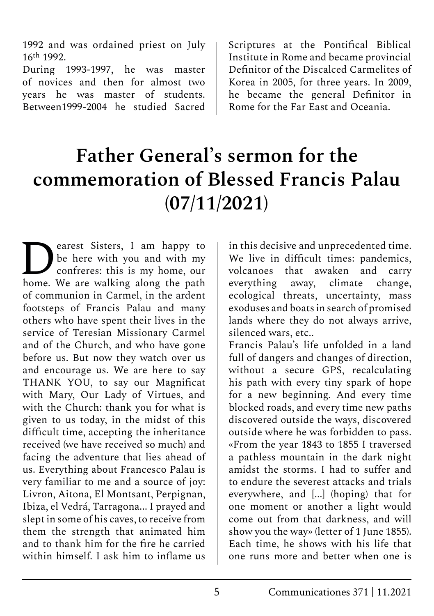1992 and was ordained priest on July 16th 1992.

During 1993-1997, he was master of novices and then for almost two years he was master of students. Between1999-2004 he studied Sacred

Scriptures at the Pontifical Biblical Institute in Rome and became provincial Definitor of the Discalced Carmelites of Korea in 2005, for three years. In 2009, he became the general Definitor in Rome for the Far East and Oceania.

## **Father General's sermon for the commemoration of Blessed Francis Palau (07/11/2021)**

**D**earest Sisters, I am happy to be here with you and with my confreres: this is my home, our home We are walking along the path be here with you and with my home. We are walking along the path of communion in Carmel, in the ardent footsteps of Francis Palau and many others who have spent their lives in the service of Teresian Missionary Carmel and of the Church, and who have gone before us. But now they watch over us and encourage us. We are here to say THANK YOU, to say our Magnificat with Mary, Our Lady of Virtues, and with the Church: thank you for what is given to us today, in the midst of this difficult time, accepting the inheritance received (we have received so much) and facing the adventure that lies ahead of us. Everything about Francesco Palau is very familiar to me and a source of joy: Livron, Aitona, El Montsant, Perpignan, Ibiza, el Vedrá, Tarragona... I prayed and slept in some of his caves, to receive from them the strength that animated him and to thank him for the fire he carried within himself. I ask him to inflame us

in this decisive and unprecedented time. We live in difficult times: pandemics, volcanoes that awaken and carry<br>everything away, climate change, everything away, climate change, ecological threats, uncertainty, mass exoduses and boats in search of promised lands where they do not always arrive, silenced wars, etc..

Francis Palau's life unfolded in a land full of dangers and changes of direction, without a secure GPS, recalculating his path with every tiny spark of hope for a new beginning. And every time blocked roads, and every time new paths discovered outside the ways, discovered outside where he was forbidden to pass. «From the year 1843 to 1855 I traversed a pathless mountain in the dark night amidst the storms. I had to suffer and to endure the severest attacks and trials everywhere, and [...] (hoping) that for one moment or another a light would come out from that darkness, and will show you the way» (letter of 1 June 1855). Each time, he shows with his life that one runs more and better when one is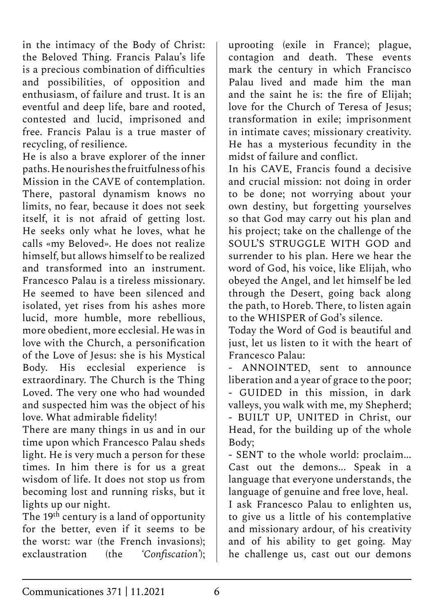in the intimacy of the Body of Christ: the Beloved Thing. Francis Palau's life is a precious combination of difficulties and possibilities, of opposition and enthusiasm, of failure and trust. It is an eventful and deep life, bare and rooted, contested and lucid, imprisoned and free. Francis Palau is a true master of recycling, of resilience.

He is also a brave explorer of the inner paths. He nourishes the fruitfulness of his Mission in the CAVE of contemplation. There, pastoral dynamism knows no limits, no fear, because it does not seek itself, it is not afraid of getting lost. He seeks only what he loves, what he calls «my Beloved». He does not realize himself, but allows himself to be realized and transformed into an instrument. Francesco Palau is a tireless missionary. He seemed to have been silenced and isolated, yet rises from his ashes more lucid, more humble, more rebellious, more obedient, more ecclesial. He was in love with the Church, a personification of the Love of Jesus: she is his Mystical Body. His ecclesial experience is extraordinary. The Church is the Thing Loved. The very one who had wounded and suspected him was the object of his love. What admirable fidelity!

There are many things in us and in our time upon which Francesco Palau sheds light. He is very much a person for these times. In him there is for us a great wisdom of life. It does not stop us from becoming lost and running risks, but it lights up our night.

The 19<sup>th</sup> century is a land of opportunity for the better, even if it seems to be the worst: war (the French invasions); exclaustration (the *'Confiscation'*);

uprooting (exile in France); plague, contagion and death. These events mark the century in which Francisco Palau lived and made him the man and the saint he is: the fire of Elijah; love for the Church of Teresa of Jesus; transformation in exile; imprisonment in intimate caves; missionary creativity. He has a mysterious fecundity in the midst of failure and conflict.

In his CAVE, Francis found a decisive and crucial mission: not doing in order to be done; not worrying about your own destiny, but forgetting yourselves so that God may carry out his plan and his project; take on the challenge of the SOUL'S STRUGGLE WITH GOD and surrender to his plan. Here we hear the word of God, his voice, like Elijah, who obeyed the Angel, and let himself be led through the Desert, going back along the path, to Horeb. There, to listen again to the WHISPER of God's silence.

Today the Word of God is beautiful and just, let us listen to it with the heart of Francesco Palau:

- ANNOINTED, sent to announce liberation and a year of grace to the poor; - GUIDED in this mission, in dark valleys, you walk with me, my Shepherd; - BUILT UP, UNITED in Christ, our Head, for the building up of the whole Body;

- SENT to the whole world: proclaim... Cast out the demons... Speak in a language that everyone understands, the language of genuine and free love, heal.

I ask Francesco Palau to enlighten us, to give us a little of his contemplative and missionary ardour, of his creativity and of his ability to get going. May he challenge us, cast out our demons